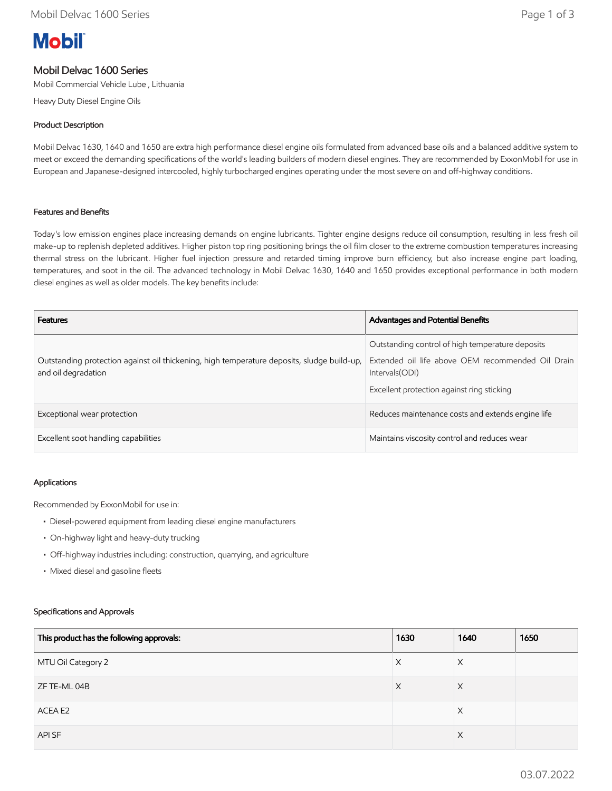# **Mobil**

# Mobil Delvac 1600 Series

Mobil Commercial Vehicle Lube , Lithuania

Heavy Duty Diesel Engine Oils

### Product Description

Mobil Delvac 1630, 1640 and 1650 are extra high performance diesel engine oils formulated from advanced base oils and a balanced additive system to meet or exceed the demanding specifications of the world's leading builders of modern diesel engines. They are recommended by ExxonMobil for use in European and Japanese-designed intercooled, highly turbocharged engines operating under the most severe on and off-highway conditions.

#### Features and Benefits

Today's low emission engines place increasing demands on engine lubricants. Tighter engine designs reduce oil consumption, resulting in less fresh oil make-up to replenish depleted additives. Higher piston top ring positioning brings the oil film closer to the extreme combustion temperatures increasing thermal stress on the lubricant. Higher fuel injection pressure and retarded timing improve burn efficiency, but also increase engine part loading, temperatures, and soot in the oil. The advanced technology in Mobil Delvac 1630, 1640 and 1650 provides exceptional performance in both modern diesel engines as well as older models. The key benefits include:

| <b>Features</b>                                                                                                   | <b>Advantages and Potential Benefits</b>                                                                                                                               |
|-------------------------------------------------------------------------------------------------------------------|------------------------------------------------------------------------------------------------------------------------------------------------------------------------|
| Outstanding protection against oil thickening, high temperature deposits, sludge build-up,<br>and oil degradation | Outstanding control of high temperature deposits<br>Extended oil life above OEM recommended Oil Drain<br>Intervals (ODI)<br>Excellent protection against ring sticking |
| Exceptional wear protection                                                                                       | Reduces maintenance costs and extends engine life                                                                                                                      |
| Excellent soot handling capabilities                                                                              | Maintains viscosity control and reduces wear                                                                                                                           |

#### Applications

Recommended by ExxonMobil for use in:

- Diesel-powered equipment from leading diesel engine manufacturers
- On-highway light and heavy-duty trucking
- Off-highway industries including: construction, quarrying, and agriculture
- Mixed diesel and gasoline fleets

#### Specifications and Approvals

| This product has the following approvals: | 1630 | 1640     | 1650 |
|-------------------------------------------|------|----------|------|
| MTU Oil Category 2                        | X    | $\times$ |      |
| ZF TE-ML 04B                              | X    | X        |      |
| ACEA E2                                   |      | X        |      |
| API SF                                    |      | $\times$ |      |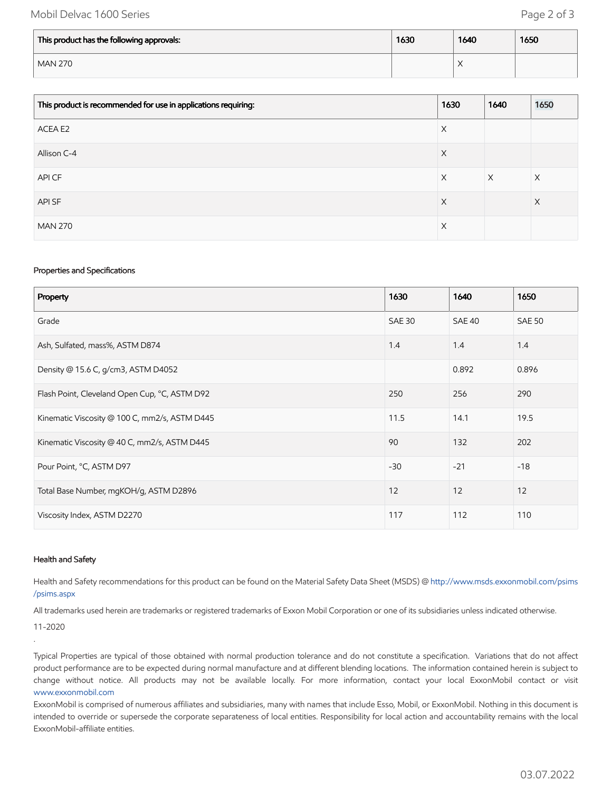## Mobil Delvac 1600 Series **Page 2 of 3**

| This product has the following approvals: | 1630 | 1640                   | 1650 |
|-------------------------------------------|------|------------------------|------|
| <b>MAN 270</b>                            |      | $\lambda$<br>$\lambda$ |      |

| This product is recommended for use in applications requiring: | 1630 | 1640     | 1650 |
|----------------------------------------------------------------|------|----------|------|
| ACEA E2                                                        | Χ    |          |      |
| Allison C-4                                                    | X    |          |      |
| API CF                                                         | Χ    | $\times$ | Χ    |
| API SF                                                         | X    |          | X    |
| <b>MAN 270</b>                                                 | X    |          |      |

#### Properties and Specifications

| Property                                      | 1630          | 1640   | 1650          |
|-----------------------------------------------|---------------|--------|---------------|
| Grade                                         | <b>SAE 30</b> | SAE 40 | <b>SAE 50</b> |
| Ash, Sulfated, mass%, ASTM D874               | 1.4           | 1.4    | 1.4           |
| Density @ 15.6 C, g/cm3, ASTM D4052           |               | 0.892  | 0.896         |
| Flash Point, Cleveland Open Cup, °C, ASTM D92 | 250           | 256    | 290           |
| Kinematic Viscosity @ 100 C, mm2/s, ASTM D445 | 11.5          | 14.1   | 19.5          |
| Kinematic Viscosity @ 40 C, mm2/s, ASTM D445  | 90            | 132    | 202           |
| Pour Point, °C, ASTM D97                      | $-30$         | $-21$  | $-18$         |
| Total Base Number, mgKOH/g, ASTM D2896        | 12            | 12     | 12            |
| Viscosity Index, ASTM D2270                   | 117           | 112    | 110           |

#### Health and Safety

Health and Safety recommendations for this product can be found on the Material Safety Data Sheet (MSDS) @ [http://www.msds.exxonmobil.com/psims](http://www.msds.exxonmobil.com/psims/psims.aspx) /psims.aspx

All trademarks used herein are trademarks or registered trademarks of Exxon Mobil Corporation or one of its subsidiaries unless indicated otherwise.

11-2020

.

Typical Properties are typical of those obtained with normal production tolerance and do not constitute a specification. Variations that do not affect product performance are to be expected during normal manufacture and at different blending locations. The information contained herein is subject to change without notice. All products may not be available locally. For more information, contact your local ExxonMobil contact or visit [www.exxonmobil.com](http://www.exxonmobil.com/)

ExxonMobil is comprised of numerous affiliates and subsidiaries, many with names that include Esso, Mobil, or ExxonMobil. Nothing in this document is intended to override or supersede the corporate separateness of local entities. Responsibility for local action and accountability remains with the local ExxonMobil-affiliate entities.